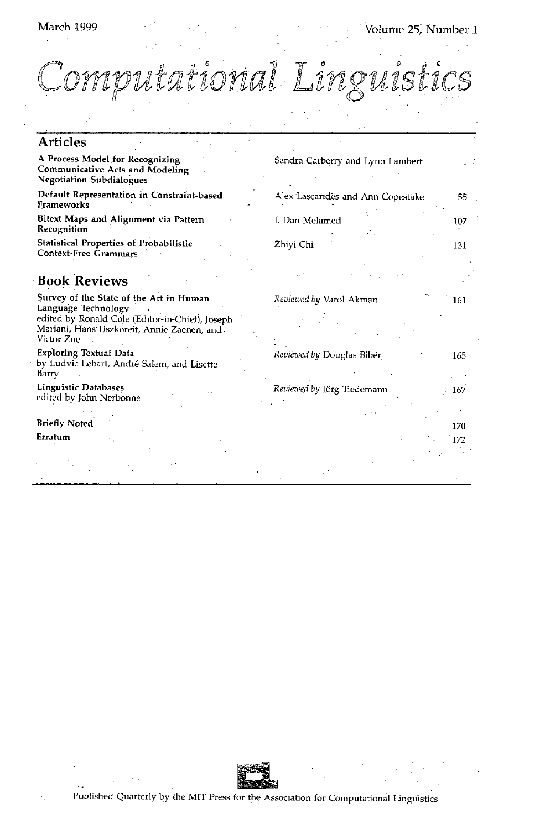# March 1999

Volume 25, Number 1

Computational Linguisti

| <b>Articles</b>                                                                                                                                                               |                                   |     |
|-------------------------------------------------------------------------------------------------------------------------------------------------------------------------------|-----------------------------------|-----|
| A Process Model for Recognizing<br>Communicative Acts and Modeling<br><b>Negotiation Subdialogues</b>                                                                         | Sandra Carberry and Lynn Lambert  | 1 : |
| Default Representation in Constraint-based<br>Frameworks                                                                                                                      | Alex Lascarides and Ann Copestake | 55  |
| Bitext Maps and Alignment via Pattern<br>Recognition                                                                                                                          | I. Dan Melamed                    | 107 |
| Statistical Properties of Probabilistic<br><b>Context-Free Grammars</b>                                                                                                       | Zhivi Chi                         | 131 |
|                                                                                                                                                                               |                                   |     |
| <b>Book Reviews</b>                                                                                                                                                           |                                   |     |
| Survey of the State of the Art in Human<br>Language Technology<br>edited by Ronald Cole (Editor-in-Chief), Joseph<br>Mariani, Hans Uszkoreit, Annic Zaenen, and<br>Victor Zue | Reviewed by Varol Akman           | 161 |
| <b>Exploring Textual Data</b><br>by Ludvic Lebart, André Salem, and Lisette<br>Barry                                                                                          | Reviewed by Douglas Biber         | 165 |
| <b>Linguistic Databases</b><br>edited by John Nerbonne                                                                                                                        | Reviewed by Jörg Tiedemann        | 167 |
|                                                                                                                                                                               |                                   |     |
| <b>Briefly Noted</b>                                                                                                                                                          |                                   | 170 |
| Erratum                                                                                                                                                                       |                                   | 172 |
|                                                                                                                                                                               |                                   |     |
|                                                                                                                                                                               |                                   |     |
|                                                                                                                                                                               |                                   |     |



Published Quarterly by the MIT Press for the Association for Computational Linguistics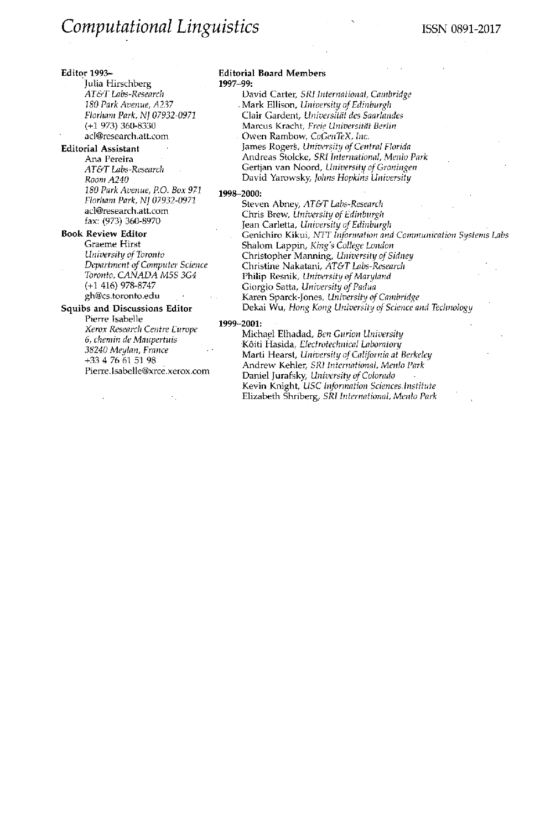### **Editor** 1993--

Julia Hirschberg *AT&T Labs-Research 180 Park Avenue, A237 Florham Park, NJ 07932-0971*  (+1 973) 360-8330 acl@research.att.com

### **Editorial Assistant**

Ana Pereira *AT&T Labs-Research Room A240 180 Park Avenue, P.O. Box 971 Florham Park, NJ 07932-0971*  acl@research.att.com fax: (973) 360-8970

## **Book Review Editor**  Graeme **Hirst**  *University of Toronto Department of Computer Science Toronto, CANADA M5S 3G4*  (+1 416) 978-8747 gh@cs.toronto.edu

**Squibs and Discussions Editor**  Pierre Isabelle *Xerox Research Centre Europe 6, chemin de Maupertuis 38240 Meylan, France*  +33 4 76 61 51 98 Pierre.Isabelle@xrce.xerox.com

#### **Editorial Board Members**  1997-99:

David Carter, *SRI International, Cambridge*  Mark Ellison, *University of Edinburgh*  Clair Gardent, *Universitdt des Saarlandes*  Marcus Kracht, Freie Universität Berlin Owen Rambow, *CoGenTeX*, Inc. James Rogers, *University of Central Florida*  Andreas Stolcke, *SRI International, Menlo Park*  Gertjan van Noord, *University of Groningen*  David Yarowsky, *Johns Hopkins University* 

#### 1998-2000:

Steven Abney, *AT&T Labs-Research*  Chris Brew, *University of Edinburgh*  Jean Carletta, *University of Edinburgh*  Genichiro Kikui, *NTT Information and Communication Systems Labs*  Shalom Lappin, *King's College London* Christopher Manning, *University of Sidney*  Christine Nakatani, *AT&T Labs-Research*  Philip Resnik, *University of Maryland* **Giorgio** Satta, *University of Padua*  Karen Sparck-Jones, *University of Cambridge*  Dekai Wu, *Hong Kong University of Science and Technology* 

#### 1999-2001:

Michael Elhadad, *Ben Gurion University*  K6iti Hasida, *Electrotechnical Laboratory*  Marti Hearst, *University of California at Berkeley*  Andrew Kehler, *SRI International, Menlo Park*  Daniel Jurafsky, *University of Colorado*  Kevin Knight, *USC Information Sciences Institute* Elizabeth Shriberg, *SRI International, Menlo Park*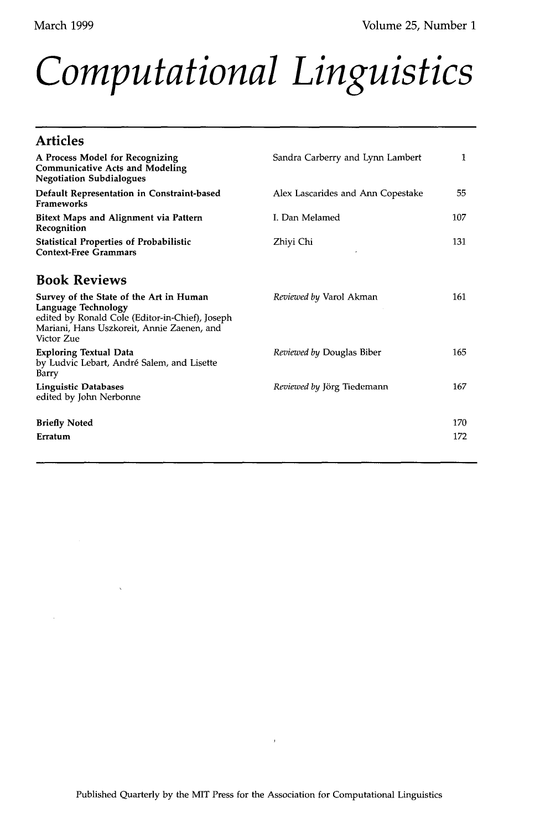# *Computational Linguistics*

| <b>Articles</b>                                                                                                                                                               |                                   |     |
|-------------------------------------------------------------------------------------------------------------------------------------------------------------------------------|-----------------------------------|-----|
| A Process Model for Recognizing<br><b>Communicative Acts and Modeling</b><br><b>Negotiation Subdialogues</b>                                                                  | Sandra Carberry and Lynn Lambert  | 1   |
| Default Representation in Constraint-based<br>Frameworks                                                                                                                      | Alex Lascarides and Ann Copestake | 55  |
| Bitext Maps and Alignment via Pattern<br>Recognition                                                                                                                          | I. Dan Melamed                    | 107 |
| Statistical Properties of Probabilistic<br><b>Context-Free Grammars</b>                                                                                                       | Zhiyi Chi                         | 131 |
| <b>Book Reviews</b>                                                                                                                                                           |                                   |     |
| Survey of the State of the Art in Human<br>Language Technology<br>edited by Ronald Cole (Editor-in-Chief), Joseph<br>Mariani, Hans Uszkoreit, Annie Zaenen, and<br>Victor Zue | <i>Reviewed by Varol Akman</i>    | 161 |
| <b>Exploring Textual Data</b><br>by Ludvic Lebart, André Salem, and Lisette<br>Barry                                                                                          | Reviewed by Douglas Biber         | 165 |
| <b>Linguistic Databases</b><br>edited by John Nerbonne                                                                                                                        | Reviewed by Jörg Tiedemann        | 167 |
| <b>Briefly Noted</b>                                                                                                                                                          |                                   | 170 |
| Erratum                                                                                                                                                                       |                                   | 172 |

 $\bar{t}$